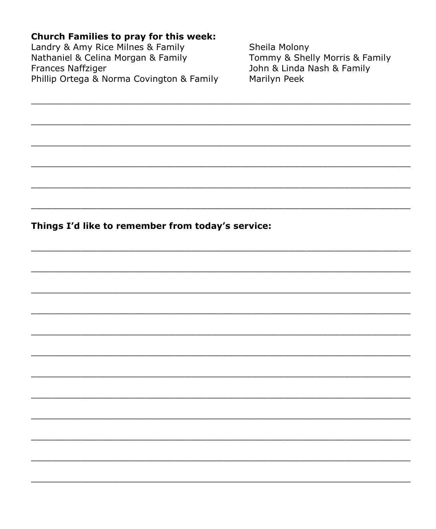# Church Families to pray for this week:

Landry & Amy Rice Milnes & Family Nathaniel & Celina Morgan & Family Frances Naffziger Phillip Ortega & Norma Covington & Family Sheila Molony Tommy & Shelly Morris & Family John & Linda Nash & Family Marilyn Peek

Things I'd like to remember from today's service: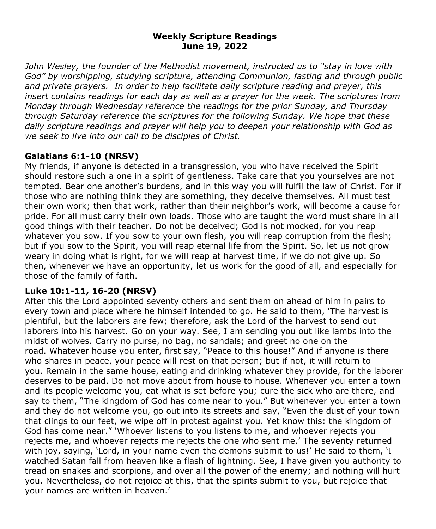#### **Weekly Scripture Readings June 19, 2022**

*John Wesley, the founder of the Methodist movement, instructed us to "stay in love with God" by worshipping, studying scripture, attending Communion, fasting and through public and private prayers. In order to help facilitate daily scripture reading and prayer, this*  insert contains readings for each day as well as a prayer for the week. The scriptures from *Monday through Wednesday reference the readings for the prior Sunday, and Thursday through Saturday reference the scriptures for the following Sunday. We hope that these daily scripture readings and prayer will help you to deepen your relationship with God as we seek to live into our call to be disciples of Christ.* 

 $\_$  , and the set of the set of the set of the set of the set of the set of the set of the set of the set of the set of the set of the set of the set of the set of the set of the set of the set of the set of the set of th

### **Galatians 6:1-10 (NRSV)**

My friends, if anyone is detected in a transgression, you who have received the Spirit should restore such a one in a spirit of gentleness. Take care that you yourselves are not tempted. Bear one another's burdens, and in this way you will fulfil the law of Christ. For if those who are nothing think they are something, they deceive themselves. All must test their own work; then that work, rather than their neighbor's work, will become a cause for pride. For all must carry their own loads. Those who are taught the word must share in all good things with their teacher. Do not be deceived; God is not mocked, for you reap whatever you sow. If you sow to your own flesh, you will reap corruption from the flesh; but if you sow to the Spirit, you will reap eternal life from the Spirit. So, let us not grow weary in doing what is right, for we will reap at harvest time, if we do not give up. So then, whenever we have an opportunity, let us work for the good of all, and especially for those of the family of faith.

#### **Luke 10:1-11, 16-20 (NRSV)**

After this the Lord appointed seventy others and sent them on ahead of him in pairs to every town and place where he himself intended to go. He said to them, 'The harvest is plentiful, but the laborers are few; therefore, ask the Lord of the harvest to send out laborers into his harvest. Go on your way. See, I am sending you out like lambs into the midst of wolves. Carry no purse, no bag, no sandals; and greet no one on the road. Whatever house you enter, first say, "Peace to this house!" And if anyone is there who shares in peace, your peace will rest on that person; but if not, it will return to you. Remain in the same house, eating and drinking whatever they provide, for the laborer deserves to be paid. Do not move about from house to house. Whenever you enter a town and its people welcome you, eat what is set before you; cure the sick who are there, and say to them, "The kingdom of God has come near to you." But whenever you enter a town and they do not welcome you, go out into its streets and say, "Even the dust of your town that clings to our feet, we wipe off in protest against you. Yet know this: the kingdom of God has come near." 'Whoever listens to you listens to me, and whoever rejects you rejects me, and whoever rejects me rejects the one who sent me.' The seventy returned with joy, saying, 'Lord, in your name even the demons submit to us!' He said to them, 'I watched Satan fall from heaven like a flash of lightning. See, I have given you authority to tread on snakes and scorpions, and over all the power of the enemy; and nothing will hurt you. Nevertheless, do not rejoice at this, that the spirits submit to you, but rejoice that your names are written in heaven.'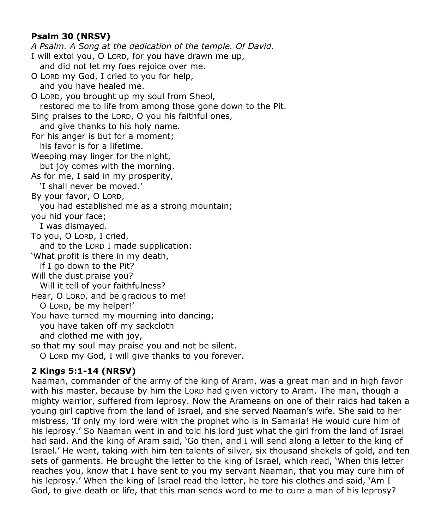### **Psalm 30 (NRSV)**

*A Psalm. A Song at the dedication of the temple. Of David.* I will extol you, O LORD, for you have drawn me up, and did not let my foes rejoice over me. O LORD my God, I cried to you for help, and you have healed me. O LORD, you brought up my soul from Sheol, restored me to life from among those gone down to the Pit. Sing praises to the LORD, O you his faithful ones, and give thanks to his holy name. For his anger is but for a moment; his favor is for a lifetime. Weeping may linger for the night, but joy comes with the morning. As for me, I said in my prosperity, 'I shall never be moved.' By your favor, O LORD, you had established me as a strong mountain; you hid your face; I was dismayed. To you, O LORD, I cried, and to the LORD I made supplication: 'What profit is there in my death, if I go down to the Pit? Will the dust praise you? Will it tell of your faithfulness? Hear, O LORD, and be gracious to me! O LORD, be my helper!' You have turned my mourning into dancing; you have taken off my sackcloth and clothed me with joy, so that my soul may praise you and not be silent. O LORD my God, I will give thanks to you forever.

# **2 Kings 5:1-14 (NRSV)**

Naaman, commander of the army of the king of Aram, was a great man and in high favor with his master, because by him the LORD had given victory to Aram. The man, though a mighty warrior, suffered from leprosy. Now the Arameans on one of their raids had taken a young girl captive from the land of Israel, and she served Naaman's wife. She said to her mistress, 'If only my lord were with the prophet who is in Samaria! He would cure him of his leprosy.' So Naaman went in and told his lord just what the girl from the land of Israel had said. And the king of Aram said, 'Go then, and I will send along a letter to the king of Israel.' He went, taking with him ten talents of silver, six thousand shekels of gold, and ten sets of garments. He brought the letter to the king of Israel, which read, 'When this letter reaches you, know that I have sent to you my servant Naaman, that you may cure him of his leprosy.' When the king of Israel read the letter, he tore his clothes and said, 'Am I God, to give death or life, that this man sends word to me to cure a man of his leprosy?